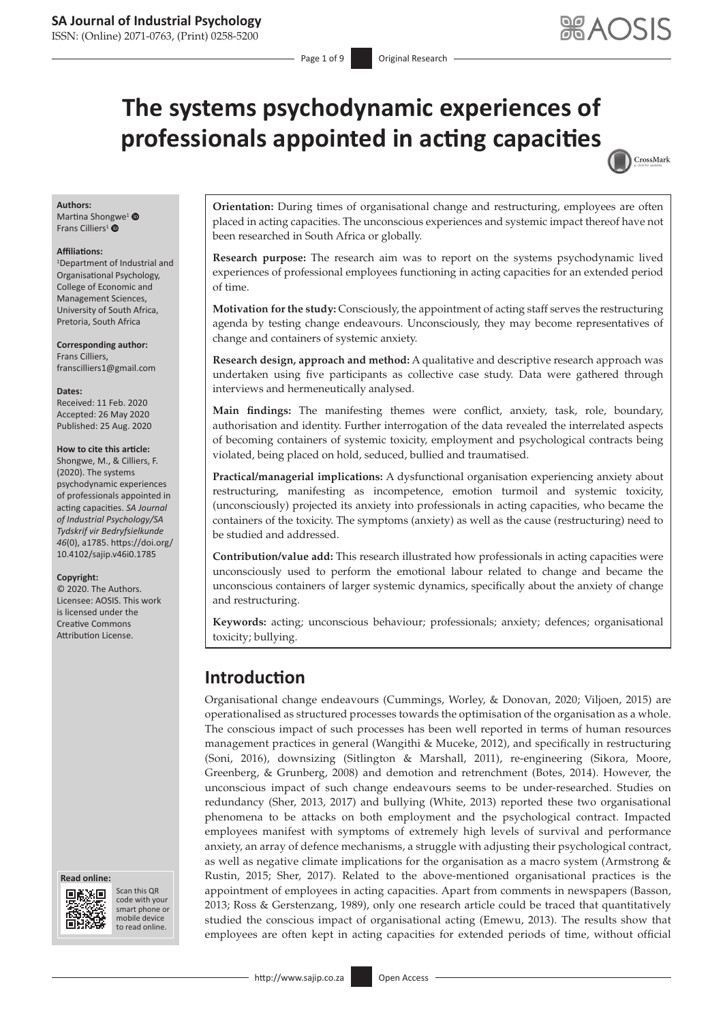CrossMark

# **The systems psychodynamic experiences of professionals appointed in acting capacities**

#### **Authors:**

Martina Sho[ngw](http://orcid.org/0000-0001-6185-6978)e<sup>[1](http://orcid.org/0000-0002-8579-6110)</sup> <sup>®</sup> Frans Cilliers<sup>1</sup> ®

#### **Affiliations:**

1 Department of Industrial and Organisational Psychology, College of Economic and Management Sciences, University of South Africa, Pretoria, South Africa

**Corresponding author:** Frans Cilliers, [franscilliers1@gmail.com](mailto:franscilliers1@gmail.com)

#### **Dates:**

Received: 11 Feb. 2020 Accepted: 26 May 2020 Published: 25 Aug. 2020

#### **How to cite this article:**

Shongwe, M., & Cilliers, F. (2020). The systems psychodynamic experiences of professionals appointed in acting capacities. *SA Journal of Industrial Psychology/SA Tydskrif vir Bedryfsielkunde 46*(0), a1785. [https://doi.org/](https://doi.org/10.4102/sajip.v46i0.1785) [10.4102/sajip.v46i0.1785](https://doi.org/10.4102/sajip.v46i0.1785)

#### **Copyright:**

© 2020. The Authors. Licensee: AOSIS. This work is licensed under the Creative Commons Attribution License.





Scan this QR code with your Scan this QR<br>code with your<br>smart phone or<br>mobile device mobile device to read online. to read online.

**Orientation:** During times of organisational change and restructuring, employees are often placed in acting capacities. The unconscious experiences and systemic impact thereof have not been researched in South Africa or globally.

**Research purpose:** The research aim was to report on the systems psychodynamic lived experiences of professional employees functioning in acting capacities for an extended period of time.

**Motivation for the study:** Consciously, the appointment of acting staff serves the restructuring agenda by testing change endeavours. Unconsciously, they may become representatives of change and containers of systemic anxiety.

**Research design, approach and method:** A qualitative and descriptive research approach was undertaken using five participants as collective case study. Data were gathered through interviews and hermeneutically analysed.

**Main findings:** The manifesting themes were conflict, anxiety, task, role, boundary, authorisation and identity. Further interrogation of the data revealed the interrelated aspects of becoming containers of systemic toxicity, employment and psychological contracts being violated, being placed on hold, seduced, bullied and traumatised.

**Practical/managerial implications:** A dysfunctional organisation experiencing anxiety about restructuring, manifesting as incompetence, emotion turmoil and systemic toxicity, (unconsciously) projected its anxiety into professionals in acting capacities, who became the containers of the toxicity. The symptoms (anxiety) as well as the cause (restructuring) need to be studied and addressed.

**Contribution/value add:** This research illustrated how professionals in acting capacities were unconsciously used to perform the emotional labour related to change and became the unconscious containers of larger systemic dynamics, specifically about the anxiety of change and restructuring.

**Keywords:** acting; unconscious behaviour; professionals; anxiety; defences; organisational toxicity; bullying.

# **Introduction**

Organisational change endeavours (Cummings, Worley, & Donovan, 2020; Viljoen, 2015) are operationalised as structured processes towards the optimisation of the organisation as a whole. The conscious impact of such processes has been well reported in terms of human resources management practices in general (Wangithi & Muceke, 2012), and specifically in restructuring (Soni, 2016), downsizing (Sitlington & Marshall, 2011), re-engineering (Sikora, Moore, Greenberg, & Grunberg, 2008) and demotion and retrenchment (Botes, 2014). However, the unconscious impact of such change endeavours seems to be under-researched. Studies on redundancy (Sher, 2013, 2017) and bullying (White, 2013) reported these two organisational phenomena to be attacks on both employment and the psychological contract. Impacted employees manifest with symptoms of extremely high levels of survival and performance anxiety, an array of defence mechanisms, a struggle with adjusting their psychological contract, as well as negative climate implications for the organisation as a macro system (Armstrong & Rustin, 2015; Sher, 2017). Related to the above-mentioned organisational practices is the appointment of employees in acting capacities. Apart from comments in newspapers (Basson, 2013; Ross & Gerstenzang, 1989), only one research article could be traced that quantitatively studied the conscious impact of organisational acting (Emewu, 2013). The results show that employees are often kept in acting capacities for extended periods of time, without official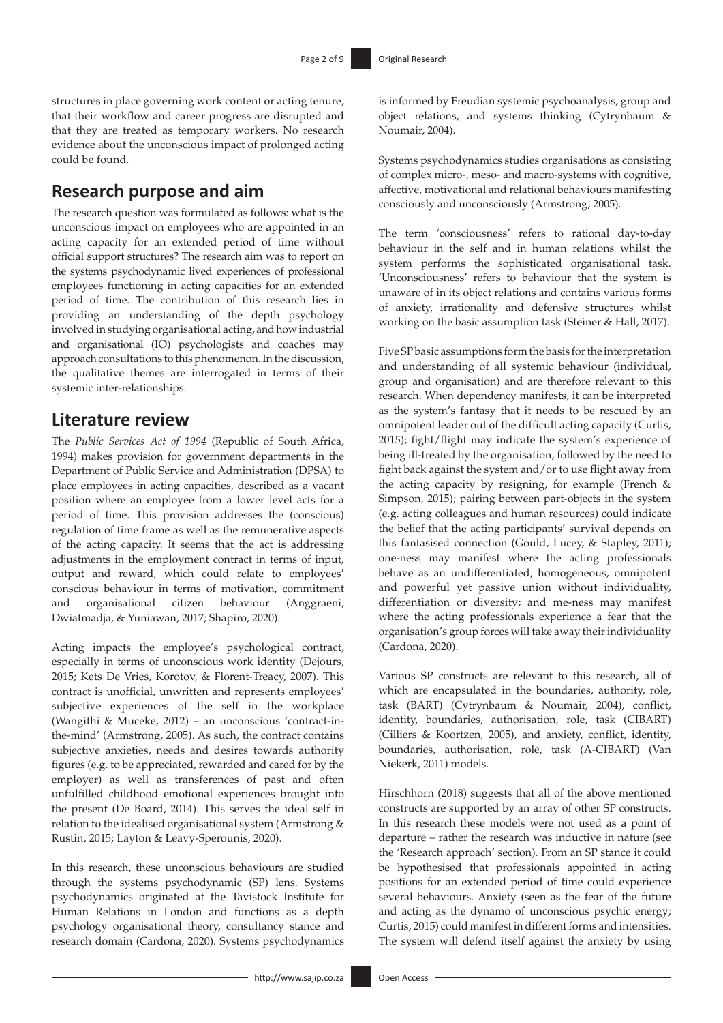structures in place governing work content or acting tenure, that their workflow and career progress are disrupted and that they are treated as temporary workers. No research evidence about the unconscious impact of prolonged acting could be found.

# **Research purpose and aim**

The research question was formulated as follows: what is the unconscious impact on employees who are appointed in an acting capacity for an extended period of time without official support structures? The research aim was to report on the systems psychodynamic lived experiences of professional employees functioning in acting capacities for an extended period of time. The contribution of this research lies in providing an understanding of the depth psychology involved in studying organisational acting, and how industrial and organisational (IO) psychologists and coaches may approach consultations to this phenomenon. In the discussion, the qualitative themes are interrogated in terms of their systemic inter-relationships.

# **Literature review**

The *Public Services Act of 1994* (Republic of South Africa, 1994) makes provision for government departments in the Department of Public Service and Administration (DPSA) to place employees in acting capacities, described as a vacant position where an employee from a lower level acts for a period of time. This provision addresses the (conscious) regulation of time frame as well as the remunerative aspects of the acting capacity. It seems that the act is addressing adjustments in the employment contract in terms of input, output and reward, which could relate to employees' conscious behaviour in terms of motivation, commitment and organisational citizen behaviour (Anggraeni, Dwiatmadja, & Yuniawan, 2017; Shapiro, 2020).

Acting impacts the employee's psychological contract, especially in terms of unconscious work identity (Dejours, 2015; Kets De Vries, Korotov, & Florent-Treacy, 2007). This contract is unofficial, unwritten and represents employees' subjective experiences of the self in the workplace (Wangithi & Muceke, 2012) – an unconscious 'contract-inthe-mind' (Armstrong, 2005). As such, the contract contains subjective anxieties, needs and desires towards authority figures (e.g. to be appreciated, rewarded and cared for by the employer) as well as transferences of past and often unfulfilled childhood emotional experiences brought into the present (De Board, 2014). This serves the ideal self in relation to the idealised organisational system (Armstrong & Rustin, 2015; Layton & Leavy-Sperounis, 2020).

In this research, these unconscious behaviours are studied through the systems psychodynamic (SP) lens. Systems psychodynamics originated at the Tavistock Institute for Human Relations in London and functions as a depth psychology organisational theory, consultancy stance and research domain (Cardona, 2020). Systems psychodynamics is informed by Freudian systemic psychoanalysis, group and object relations, and systems thinking (Cytrynbaum & Noumair, 2004).

Systems psychodynamics studies organisations as consisting of complex micro-, meso- and macro-systems with cognitive, affective, motivational and relational behaviours manifesting consciously and unconsciously (Armstrong, 2005).

The term 'consciousness' refers to rational day-to-day behaviour in the self and in human relations whilst the system performs the sophisticated organisational task. 'Unconsciousness' refers to behaviour that the system is unaware of in its object relations and contains various forms of anxiety, irrationality and defensive structures whilst working on the basic assumption task (Steiner & Hall, 2017).

Five SP basic assumptions form the basis for the interpretation and understanding of all systemic behaviour (individual, group and organisation) and are therefore relevant to this research. When dependency manifests, it can be interpreted as the system's fantasy that it needs to be rescued by an omnipotent leader out of the difficult acting capacity (Curtis, 2015); fight/flight may indicate the system's experience of being ill-treated by the organisation, followed by the need to fight back against the system and/or to use flight away from the acting capacity by resigning, for example (French & Simpson, 2015); pairing between part-objects in the system (e.g. acting colleagues and human resources) could indicate the belief that the acting participants' survival depends on this fantasised connection (Gould, Lucey, & Stapley, 2011); one-ness may manifest where the acting professionals behave as an undifferentiated, homogeneous, omnipotent and powerful yet passive union without individuality, differentiation or diversity; and me-ness may manifest where the acting professionals experience a fear that the organisation's group forces will take away their individuality (Cardona, 2020).

Various SP constructs are relevant to this research, all of which are encapsulated in the boundaries, authority, role, task (BART) (Cytrynbaum & Noumair, 2004), conflict, identity, boundaries, authorisation, role, task (CIBART) (Cilliers & Koortzen, 2005), and anxiety, conflict, identity, boundaries, authorisation, role, task (A-CIBART) (Van Niekerk, 2011) models.

Hirschhorn (2018) suggests that all of the above mentioned constructs are supported by an array of other SP constructs. In this research these models were not used as a point of departure – rather the research was inductive in nature (see the 'Research approach' section). From an SP stance it could be hypothesised that professionals appointed in acting positions for an extended period of time could experience several behaviours. Anxiety (seen as the fear of the future and acting as the dynamo of unconscious psychic energy; Curtis, 2015) could manifest in different forms and intensities. The system will defend itself against the anxiety by using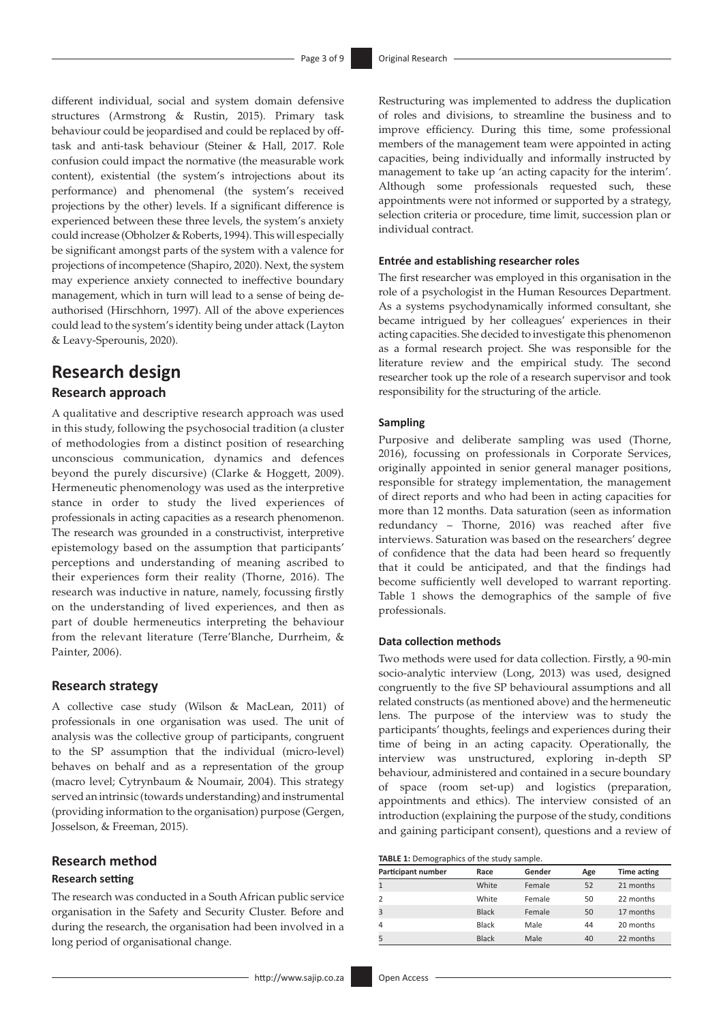different individual, social and system domain defensive structures (Armstrong & Rustin, 2015). Primary task behaviour could be jeopardised and could be replaced by offtask and anti-task behaviour (Steiner & Hall, 2017. Role confusion could impact the normative (the measurable work content), existential (the system's introjections about its performance) and phenomenal (the system's received projections by the other) levels. If a significant difference is experienced between these three levels, the system's anxiety could increase (Obholzer & Roberts, 1994). This will especially be significant amongst parts of the system with a valence for projections of incompetence (Shapiro, 2020). Next, the system may experience anxiety connected to ineffective boundary management, which in turn will lead to a sense of being deauthorised (Hirschhorn, 1997). All of the above experiences could lead to the system's identity being under attack (Layton & Leavy-Sperounis, 2020).

# **Research design**

### **Research approach**

A qualitative and descriptive research approach was used in this study, following the psychosocial tradition (a cluster of methodologies from a distinct position of researching unconscious communication, dynamics and defences beyond the purely discursive) (Clarke & Hoggett, 2009). Hermeneutic phenomenology was used as the interpretive stance in order to study the lived experiences of professionals in acting capacities as a research phenomenon. The research was grounded in a constructivist, interpretive epistemology based on the assumption that participants' perceptions and understanding of meaning ascribed to their experiences form their reality (Thorne, 2016). The research was inductive in nature, namely, focussing firstly on the understanding of lived experiences, and then as part of double hermeneutics interpreting the behaviour from the relevant literature (Terre'Blanche, Durrheim, & Painter, 2006).

### **Research strategy**

A collective case study (Wilson & MacLean, 2011) of professionals in one organisation was used. The unit of analysis was the collective group of participants, congruent to the SP assumption that the individual (micro-level) behaves on behalf and as a representation of the group (macro level; Cytrynbaum & Noumair, 2004). This strategy served an intrinsic (towards understanding) and instrumental (providing information to the organisation) purpose (Gergen, Josselson, & Freeman, 2015).

### **Research method**

#### **Research setting**

The research was conducted in a South African public service organisation in the Safety and Security Cluster. Before and during the research, the organisation had been involved in a long period of organisational change.

Restructuring was implemented to address the duplication of roles and divisions, to streamline the business and to improve efficiency. During this time, some professional members of the management team were appointed in acting capacities, being individually and informally instructed by management to take up 'an acting capacity for the interim'. Although some professionals requested such, these appointments were not informed or supported by a strategy, selection criteria or procedure, time limit, succession plan or individual contract.

#### **Entrée and establishing researcher roles**

The first researcher was employed in this organisation in the role of a psychologist in the Human Resources Department. As a systems psychodynamically informed consultant, she became intrigued by her colleagues' experiences in their acting capacities. She decided to investigate this phenomenon as a formal research project. She was responsible for the literature review and the empirical study. The second researcher took up the role of a research supervisor and took responsibility for the structuring of the article.

#### **Sampling**

Purposive and deliberate sampling was used (Thorne, 2016), focussing on professionals in Corporate Services, originally appointed in senior general manager positions, responsible for strategy implementation, the management of direct reports and who had been in acting capacities for more than 12 months. Data saturation (seen as information redundancy – Thorne, 2016) was reached after five interviews. Saturation was based on the researchers' degree of confidence that the data had been heard so frequently that it could be anticipated, and that the findings had become sufficiently well developed to warrant reporting. Table 1 shows the demographics of the sample of five professionals.

#### **Data collection methods**

Two methods were used for data collection. Firstly, a 90-min socio-analytic interview (Long, 2013) was used, designed congruently to the five SP behavioural assumptions and all related constructs (as mentioned above) and the hermeneutic lens. The purpose of the interview was to study the participants' thoughts, feelings and experiences during their time of being in an acting capacity. Operationally, the interview was unstructured, exploring in-depth SP behaviour, administered and contained in a secure boundary of space (room set-up) and logistics (preparation, appointments and ethics). The interview consisted of an introduction (explaining the purpose of the study, conditions and gaining participant consent), questions and a review of

| <b>TABLE 1:</b> Demographics of the study sample. |  |  |
|---------------------------------------------------|--|--|
|                                                   |  |  |

| Participant number | Race         | Gender | Age | <b>Time acting</b> |
|--------------------|--------------|--------|-----|--------------------|
| $\mathbf{1}$       | White        | Female | 52  | 21 months          |
| 2                  | White        | Female | 50  | 22 months          |
| $\overline{3}$     | <b>Black</b> | Female | 50  | 17 months          |
| $\overline{4}$     | <b>Black</b> | Male   | 44  | 20 months          |
| 5                  | <b>Black</b> | Male   | 40  | 22 months          |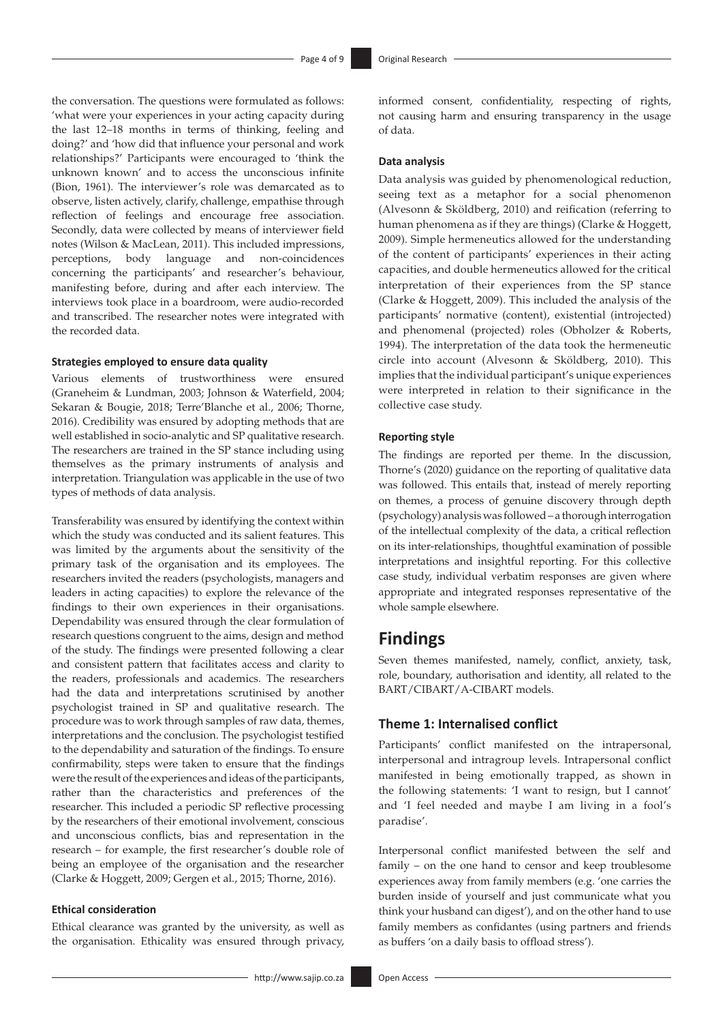the conversation. The questions were formulated as follows: 'what were your experiences in your acting capacity during the last 12–18 months in terms of thinking, feeling and doing?' and 'how did that influence your personal and work relationships?' Participants were encouraged to 'think the unknown known' and to access the unconscious infinite (Bion, 1961). The interviewer's role was demarcated as to observe, listen actively, clarify, challenge, empathise through reflection of feelings and encourage free association. Secondly, data were collected by means of interviewer field notes (Wilson & MacLean, 2011). This included impressions, perceptions, body language and non-coincidences concerning the participants' and researcher's behaviour, manifesting before, during and after each interview. The interviews took place in a boardroom, were audio-recorded and transcribed. The researcher notes were integrated with the recorded data.

#### **Strategies employed to ensure data quality**

Various elements of trustworthiness were ensured (Graneheim & Lundman, 2003; Johnson & Waterfield, 2004; Sekaran & Bougie, 2018; Terre'Blanche et al., 2006; Thorne, 2016). Credibility was ensured by adopting methods that are well established in socio-analytic and SP qualitative research. The researchers are trained in the SP stance including using themselves as the primary instruments of analysis and interpretation. Triangulation was applicable in the use of two types of methods of data analysis.

Transferability was ensured by identifying the context within which the study was conducted and its salient features. This was limited by the arguments about the sensitivity of the primary task of the organisation and its employees. The researchers invited the readers (psychologists, managers and leaders in acting capacities) to explore the relevance of the findings to their own experiences in their organisations. Dependability was ensured through the clear formulation of research questions congruent to the aims, design and method of the study. The findings were presented following a clear and consistent pattern that facilitates access and clarity to the readers, professionals and academics. The researchers had the data and interpretations scrutinised by another psychologist trained in SP and qualitative research. The procedure was to work through samples of raw data, themes, interpretations and the conclusion. The psychologist testified to the dependability and saturation of the findings. To ensure confirmability, steps were taken to ensure that the findings were the result of the experiences and ideas of the participants, rather than the characteristics and preferences of the researcher. This included a periodic SP reflective processing by the researchers of their emotional involvement, conscious and unconscious conflicts, bias and representation in the research – for example, the first researcher's double role of being an employee of the organisation and the researcher (Clarke & Hoggett, 2009; Gergen et al., 2015; Thorne, 2016).

#### **Ethical consideration**

Ethical clearance was granted by the university, as well as the organisation. Ethicality was ensured through privacy,

informed consent, confidentiality, respecting of rights, not causing harm and ensuring transparency in the usage of data.

#### **Data analysis**

Data analysis was guided by phenomenological reduction, seeing text as a metaphor for a social phenomenon (Alvesonn & Sköldberg, 2010) and reification (referring to human phenomena as if they are things) (Clarke & Hoggett, 2009). Simple hermeneutics allowed for the understanding of the content of participants' experiences in their acting capacities, and double hermeneutics allowed for the critical interpretation of their experiences from the SP stance (Clarke & Hoggett, 2009). This included the analysis of the participants' normative (content), existential (introjected) and phenomenal (projected) roles (Obholzer & Roberts, 1994). The interpretation of the data took the hermeneutic circle into account (Alvesonn & Sköldberg, 2010). This implies that the individual participant's unique experiences were interpreted in relation to their significance in the collective case study.

#### **Reporting style**

The findings are reported per theme. In the discussion, Thorne's (2020) guidance on the reporting of qualitative data was followed. This entails that, instead of merely reporting on themes, a process of genuine discovery through depth (psychology) analysis was followed – a thorough interrogation of the intellectual complexity of the data, a critical reflection on its inter-relationships, thoughtful examination of possible interpretations and insightful reporting. For this collective case study, individual verbatim responses are given where appropriate and integrated responses representative of the whole sample elsewhere.

### **Findings**

Seven themes manifested, namely, conflict, anxiety, task, role, boundary, authorisation and identity, all related to the BART/CIBART/A-CIBART models.

### **Theme 1: Internalised conflict**

Participants' conflict manifested on the intrapersonal, interpersonal and intragroup levels. Intrapersonal conflict manifested in being emotionally trapped, as shown in the following statements: 'I want to resign, but I cannot' and 'I feel needed and maybe I am living in a fool's paradise'.

Interpersonal conflict manifested between the self and family – on the one hand to censor and keep troublesome experiences away from family members (e.g. 'one carries the burden inside of yourself and just communicate what you think your husband can digest'), and on the other hand to use family members as confidantes (using partners and friends as buffers 'on a daily basis to offload stress').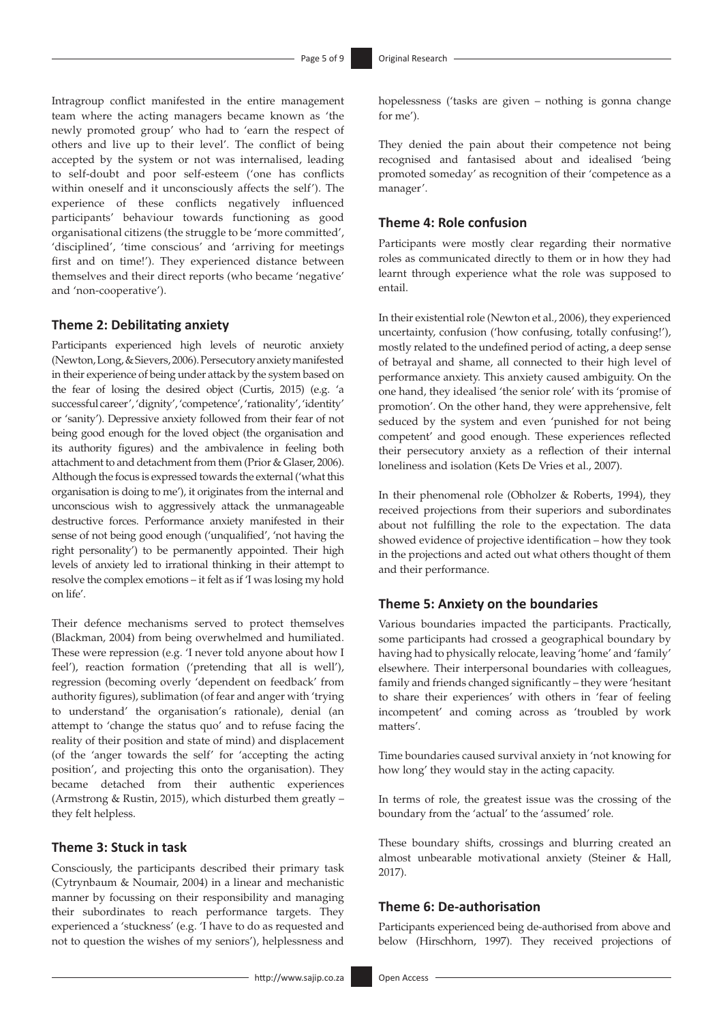Intragroup conflict manifested in the entire management team where the acting managers became known as 'the newly promoted group' who had to 'earn the respect of others and live up to their level'. The conflict of being accepted by the system or not was internalised, leading to self-doubt and poor self-esteem ('one has conflicts within oneself and it unconsciously affects the self'). The experience of these conflicts negatively influenced participants' behaviour towards functioning as good organisational citizens (the struggle to be 'more committed', 'disciplined', 'time conscious' and 'arriving for meetings first and on time!'). They experienced distance between themselves and their direct reports (who became 'negative' and 'non-cooperative').

#### **Theme 2: Debilitating anxiety**

Participants experienced high levels of neurotic anxiety (Newton, Long, & Sievers, 2006). Persecutory anxiety manifested in their experience of being under attack by the system based on the fear of losing the desired object (Curtis, 2015) (e.g. 'a successful career', 'dignity', 'competence', 'rationality', 'identity' or 'sanity'). Depressive anxiety followed from their fear of not being good enough for the loved object (the organisation and its authority figures) and the ambivalence in feeling both attachment to and detachment from them (Prior & Glaser, 2006). Although the focus is expressed towards the external ('what this organisation is doing to me'), it originates from the internal and unconscious wish to aggressively attack the unmanageable destructive forces. Performance anxiety manifested in their sense of not being good enough ('unqualified', 'not having the right personality') to be permanently appointed. Their high levels of anxiety led to irrational thinking in their attempt to resolve the complex emotions – it felt as if 'I was losing my hold on life'.

Their defence mechanisms served to protect themselves (Blackman, 2004) from being overwhelmed and humiliated. These were repression (e.g. 'I never told anyone about how I feel'), reaction formation ('pretending that all is well'), regression (becoming overly 'dependent on feedback' from authority figures), sublimation (of fear and anger with 'trying to understand' the organisation's rationale), denial (an attempt to 'change the status quo' and to refuse facing the reality of their position and state of mind) and displacement (of the 'anger towards the self' for 'accepting the acting position', and projecting this onto the organisation). They became detached from their authentic experiences (Armstrong & Rustin, 2015), which disturbed them greatly – they felt helpless.

#### **Theme 3: Stuck in task**

Consciously, the participants described their primary task (Cytrynbaum & Noumair, 2004) in a linear and mechanistic manner by focussing on their responsibility and managing their subordinates to reach performance targets. They experienced a 'stuckness' (e.g. 'I have to do as requested and not to question the wishes of my seniors'), helplessness and

hopelessness ('tasks are given – nothing is gonna change for me').

They denied the pain about their competence not being recognised and fantasised about and idealised 'being promoted someday' as recognition of their 'competence as a manager'.

### **Theme 4: Role confusion**

Participants were mostly clear regarding their normative roles as communicated directly to them or in how they had learnt through experience what the role was supposed to entail.

In their existential role (Newton et al., 2006), they experienced uncertainty, confusion ('how confusing, totally confusing!'), mostly related to the undefined period of acting, a deep sense of betrayal and shame, all connected to their high level of performance anxiety. This anxiety caused ambiguity. On the one hand, they idealised 'the senior role' with its 'promise of promotion'. On the other hand, they were apprehensive, felt seduced by the system and even 'punished for not being competent' and good enough. These experiences reflected their persecutory anxiety as a reflection of their internal loneliness and isolation (Kets De Vries et al., 2007).

In their phenomenal role (Obholzer & Roberts, 1994), they received projections from their superiors and subordinates about not fulfilling the role to the expectation. The data showed evidence of projective identification – how they took in the projections and acted out what others thought of them and their performance.

### **Theme 5: Anxiety on the boundaries**

Various boundaries impacted the participants. Practically, some participants had crossed a geographical boundary by having had to physically relocate, leaving 'home' and 'family' elsewhere. Their interpersonal boundaries with colleagues, family and friends changed significantly – they were 'hesitant to share their experiences' with others in 'fear of feeling incompetent' and coming across as 'troubled by work matters'.

Time boundaries caused survival anxiety in 'not knowing for how long' they would stay in the acting capacity.

In terms of role, the greatest issue was the crossing of the boundary from the 'actual' to the 'assumed' role.

These boundary shifts, crossings and blurring created an almost unbearable motivational anxiety (Steiner & Hall, 2017).

#### **Theme 6: De-authorisation**

Participants experienced being de-authorised from above and below (Hirschhorn, 1997). They received projections of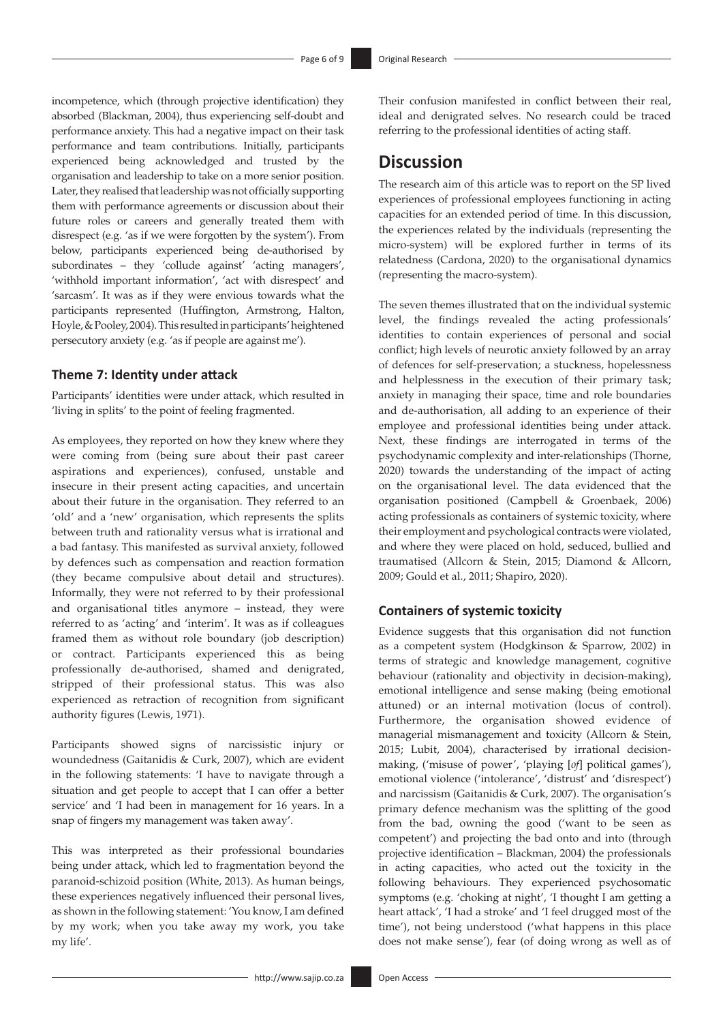incompetence, which (through projective identification) they absorbed (Blackman, 2004), thus experiencing self-doubt and performance anxiety. This had a negative impact on their task performance and team contributions. Initially, participants experienced being acknowledged and trusted by the organisation and leadership to take on a more senior position. Later, they realised that leadership was not officially supporting them with performance agreements or discussion about their future roles or careers and generally treated them with disrespect (e.g. 'as if we were forgotten by the system'). From below, participants experienced being de-authorised by subordinates – they 'collude against' 'acting managers', 'withhold important information', 'act with disrespect' and 'sarcasm'. It was as if they were envious towards what the participants represented (Huffington, Armstrong, Halton, Hoyle, & Pooley, 2004). This resulted in participants' heightened persecutory anxiety (e.g. 'as if people are against me').

#### **Theme 7: Identity under attack**

Participants' identities were under attack, which resulted in 'living in splits' to the point of feeling fragmented.

As employees, they reported on how they knew where they were coming from (being sure about their past career aspirations and experiences), confused, unstable and insecure in their present acting capacities, and uncertain about their future in the organisation. They referred to an 'old' and a 'new' organisation, which represents the splits between truth and rationality versus what is irrational and a bad fantasy. This manifested as survival anxiety, followed by defences such as compensation and reaction formation (they became compulsive about detail and structures). Informally, they were not referred to by their professional and organisational titles anymore – instead, they were referred to as 'acting' and 'interim'. It was as if colleagues framed them as without role boundary (job description) or contract. Participants experienced this as being professionally de-authorised, shamed and denigrated, stripped of their professional status. This was also experienced as retraction of recognition from significant authority figures (Lewis, 1971).

Participants showed signs of narcissistic injury or woundedness (Gaitanidis & Curk, 2007), which are evident in the following statements: 'I have to navigate through a situation and get people to accept that I can offer a better service' and 'I had been in management for 16 years. In a snap of fingers my management was taken away'.

This was interpreted as their professional boundaries being under attack, which led to fragmentation beyond the paranoid-schizoid position (White, 2013). As human beings, these experiences negatively influenced their personal lives, as shown in the following statement: 'You know, I am defined by my work; when you take away my work, you take my life'.

Their confusion manifested in conflict between their real, ideal and denigrated selves. No research could be traced referring to the professional identities of acting staff.

# **Discussion**

The research aim of this article was to report on the SP lived experiences of professional employees functioning in acting capacities for an extended period of time. In this discussion, the experiences related by the individuals (representing the micro-system) will be explored further in terms of its relatedness (Cardona, 2020) to the organisational dynamics (representing the macro-system).

The seven themes illustrated that on the individual systemic level, the findings revealed the acting professionals' identities to contain experiences of personal and social conflict; high levels of neurotic anxiety followed by an array of defences for self-preservation; a stuckness, hopelessness and helplessness in the execution of their primary task; anxiety in managing their space, time and role boundaries and de-authorisation, all adding to an experience of their employee and professional identities being under attack. Next, these findings are interrogated in terms of the psychodynamic complexity and inter-relationships (Thorne, 2020) towards the understanding of the impact of acting on the organisational level. The data evidenced that the organisation positioned (Campbell & Groenbaek, 2006) acting professionals as containers of systemic toxicity, where their employment and psychological contracts were violated, and where they were placed on hold, seduced, bullied and traumatised (Allcorn & Stein, 2015; Diamond & Allcorn, 2009; Gould et al., 2011; Shapiro, 2020).

#### **Containers of systemic toxicity**

Evidence suggests that this organisation did not function as a competent system (Hodgkinson & Sparrow, 2002) in terms of strategic and knowledge management, cognitive behaviour (rationality and objectivity in decision-making), emotional intelligence and sense making (being emotional attuned) or an internal motivation (locus of control). Furthermore, the organisation showed evidence of managerial mismanagement and toxicity (Allcorn & Stein, 2015; Lubit, 2004), characterised by irrational decisionmaking, ('misuse of power', 'playing [*of*] political games'), emotional violence ('intolerance', 'distrust' and 'disrespect') and narcissism (Gaitanidis & Curk, 2007). The organisation's primary defence mechanism was the splitting of the good from the bad, owning the good ('want to be seen as competent') and projecting the bad onto and into (through projective identification – Blackman, 2004) the professionals in acting capacities, who acted out the toxicity in the following behaviours. They experienced psychosomatic symptoms (e.g. 'choking at night', 'I thought I am getting a heart attack', 'I had a stroke' and 'I feel drugged most of the time'), not being understood ('what happens in this place does not make sense'), fear (of doing wrong as well as of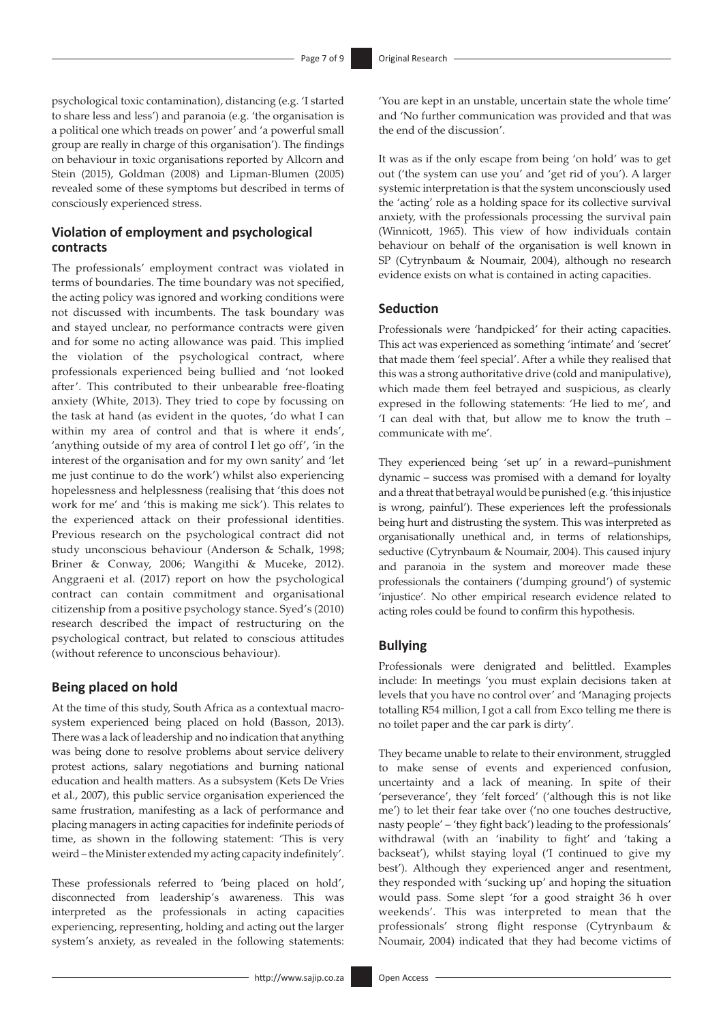psychological toxic contamination), distancing (e.g. 'I started to share less and less') and paranoia (e.g. 'the organisation is a political one which treads on power' and 'a powerful small group are really in charge of this organisation'). The findings on behaviour in toxic organisations reported by Allcorn and Stein (2015), Goldman (2008) and Lipman-Blumen (2005) revealed some of these symptoms but described in terms of consciously experienced stress.

### **Violation of employment and psychological contracts**

The professionals' employment contract was violated in terms of boundaries. The time boundary was not specified, the acting policy was ignored and working conditions were not discussed with incumbents. The task boundary was and stayed unclear, no performance contracts were given and for some no acting allowance was paid. This implied the violation of the psychological contract, where professionals experienced being bullied and 'not looked after'. This contributed to their unbearable free-floating anxiety (White, 2013). They tried to cope by focussing on the task at hand (as evident in the quotes, 'do what I can within my area of control and that is where it ends', 'anything outside of my area of control I let go off', 'in the interest of the organisation and for my own sanity' and 'let me just continue to do the work') whilst also experiencing hopelessness and helplessness (realising that 'this does not work for me' and 'this is making me sick'). This relates to the experienced attack on their professional identities. Previous research on the psychological contract did not study unconscious behaviour (Anderson & Schalk, 1998; Briner & Conway, 2006; Wangithi & Muceke, 2012). Anggraeni et al. (2017) report on how the psychological contract can contain commitment and organisational citizenship from a positive psychology stance. Syed's (2010) research described the impact of restructuring on the psychological contract, but related to conscious attitudes (without reference to unconscious behaviour).

#### **Being placed on hold**

At the time of this study, South Africa as a contextual macrosystem experienced being placed on hold (Basson, 2013). There was a lack of leadership and no indication that anything was being done to resolve problems about service delivery protest actions, salary negotiations and burning national education and health matters. As a subsystem (Kets De Vries et al., 2007), this public service organisation experienced the same frustration, manifesting as a lack of performance and placing managers in acting capacities for indefinite periods of time, as shown in the following statement: 'This is very weird – the Minister extended my acting capacity indefinitely'.

These professionals referred to 'being placed on hold', disconnected from leadership's awareness. This was interpreted as the professionals in acting capacities experiencing, representing, holding and acting out the larger system's anxiety, as revealed in the following statements: 'You are kept in an unstable, uncertain state the whole time' and 'No further communication was provided and that was the end of the discussion'.

It was as if the only escape from being 'on hold' was to get out ('the system can use you' and 'get rid of you'). A larger systemic interpretation is that the system unconsciously used the 'acting' role as a holding space for its collective survival anxiety, with the professionals processing the survival pain (Winnicott, 1965). This view of how individuals contain behaviour on behalf of the organisation is well known in SP (Cytrynbaum & Noumair, 2004), although no research evidence exists on what is contained in acting capacities.

#### **Seduction**

Professionals were 'handpicked' for their acting capacities. This act was experienced as something 'intimate' and 'secret' that made them 'feel special'. After a while they realised that this was a strong authoritative drive (cold and manipulative), which made them feel betrayed and suspicious, as clearly expresed in the following statements: 'He lied to me', and 'I can deal with that, but allow me to know the truth – communicate with me'.

They experienced being 'set up' in a reward–punishment dynamic – success was promised with a demand for loyalty and a threat that betrayal would be punished (e.g. 'this injustice is wrong, painful'). These experiences left the professionals being hurt and distrusting the system. This was interpreted as organisationally unethical and, in terms of relationships, seductive (Cytrynbaum & Noumair, 2004). This caused injury and paranoia in the system and moreover made these professionals the containers ('dumping ground') of systemic 'injustice'. No other empirical research evidence related to acting roles could be found to confirm this hypothesis.

### **Bullying**

Professionals were denigrated and belittled. Examples include: In meetings 'you must explain decisions taken at levels that you have no control over' and 'Managing projects totalling R54 million, I got a call from Exco telling me there is no toilet paper and the car park is dirty'.

They became unable to relate to their environment, struggled to make sense of events and experienced confusion, uncertainty and a lack of meaning. In spite of their 'perseverance', they 'felt forced' ('although this is not like me') to let their fear take over ('no one touches destructive, nasty people' – 'they fight back') leading to the professionals' withdrawal (with an 'inability to fight' and 'taking a backseat'), whilst staying loyal ('I continued to give my best'). Although they experienced anger and resentment, they responded with 'sucking up' and hoping the situation would pass. Some slept 'for a good straight 36 h over weekends'. This was interpreted to mean that the professionals' strong flight response (Cytrynbaum & Noumair, 2004) indicated that they had become victims of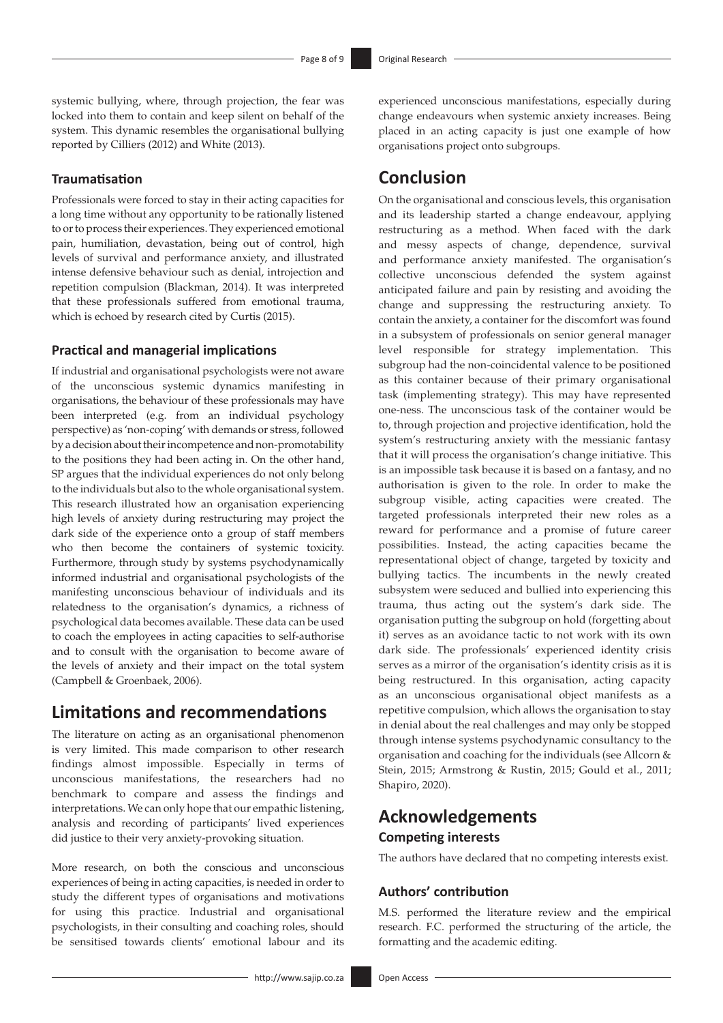systemic bullying, where, through projection, the fear was locked into them to contain and keep silent on behalf of the system. This dynamic resembles the organisational bullying reported by Cilliers (2012) and White (2013).

#### **Traumatisation**

Professionals were forced to stay in their acting capacities for a long time without any opportunity to be rationally listened to or to process their experiences. They experienced emotional pain, humiliation, devastation, being out of control, high levels of survival and performance anxiety, and illustrated intense defensive behaviour such as denial, introjection and repetition compulsion (Blackman, 2014). It was interpreted that these professionals suffered from emotional trauma, which is echoed by research cited by Curtis (2015).

#### **Practical and managerial implications**

If industrial and organisational psychologists were not aware of the unconscious systemic dynamics manifesting in organisations, the behaviour of these professionals may have been interpreted (e.g. from an individual psychology perspective) as 'non-coping' with demands or stress, followed by a decision about their incompetence and non-promotability to the positions they had been acting in. On the other hand, SP argues that the individual experiences do not only belong to the individuals but also to the whole organisational system. This research illustrated how an organisation experiencing high levels of anxiety during restructuring may project the dark side of the experience onto a group of staff members who then become the containers of systemic toxicity. Furthermore, through study by systems psychodynamically informed industrial and organisational psychologists of the manifesting unconscious behaviour of individuals and its relatedness to the organisation's dynamics, a richness of psychological data becomes available. These data can be used to coach the employees in acting capacities to self-authorise and to consult with the organisation to become aware of the levels of anxiety and their impact on the total system (Campbell & Groenbaek, 2006).

### **Limitations and recommendations**

The literature on acting as an organisational phenomenon is very limited. This made comparison to other research findings almost impossible. Especially in terms of unconscious manifestations, the researchers had no benchmark to compare and assess the findings and interpretations. We can only hope that our empathic listening, analysis and recording of participants' lived experiences did justice to their very anxiety-provoking situation.

More research, on both the conscious and unconscious experiences of being in acting capacities, is needed in order to study the different types of organisations and motivations for using this practice. Industrial and organisational psychologists, in their consulting and coaching roles, should be sensitised towards clients' emotional labour and its

experienced unconscious manifestations, especially during change endeavours when systemic anxiety increases. Being placed in an acting capacity is just one example of how organisations project onto subgroups.

# **Conclusion**

On the organisational and conscious levels, this organisation and its leadership started a change endeavour, applying restructuring as a method. When faced with the dark and messy aspects of change, dependence, survival and performance anxiety manifested. The organisation's collective unconscious defended the system against anticipated failure and pain by resisting and avoiding the change and suppressing the restructuring anxiety. To contain the anxiety, a container for the discomfort was found in a subsystem of professionals on senior general manager level responsible for strategy implementation. This subgroup had the non-coincidental valence to be positioned as this container because of their primary organisational task (implementing strategy). This may have represented one-ness. The unconscious task of the container would be to, through projection and projective identification, hold the system's restructuring anxiety with the messianic fantasy that it will process the organisation's change initiative. This is an impossible task because it is based on a fantasy, and no authorisation is given to the role. In order to make the subgroup visible, acting capacities were created. The targeted professionals interpreted their new roles as a reward for performance and a promise of future career possibilities. Instead, the acting capacities became the representational object of change, targeted by toxicity and bullying tactics. The incumbents in the newly created subsystem were seduced and bullied into experiencing this trauma, thus acting out the system's dark side. The organisation putting the subgroup on hold (forgetting about it) serves as an avoidance tactic to not work with its own dark side. The professionals' experienced identity crisis serves as a mirror of the organisation's identity crisis as it is being restructured. In this organisation, acting capacity as an unconscious organisational object manifests as a repetitive compulsion, which allows the organisation to stay in denial about the real challenges and may only be stopped through intense systems psychodynamic consultancy to the organisation and coaching for the individuals (see Allcorn & Stein, 2015; Armstrong & Rustin, 2015; Gould et al., 2011; Shapiro, 2020).

# **Acknowledgements Competing interests**

The authors have declared that no competing interests exist.

#### **Authors' contribution**

M.S. performed the literature review and the empirical research. F.C. performed the structuring of the article, the formatting and the academic editing.